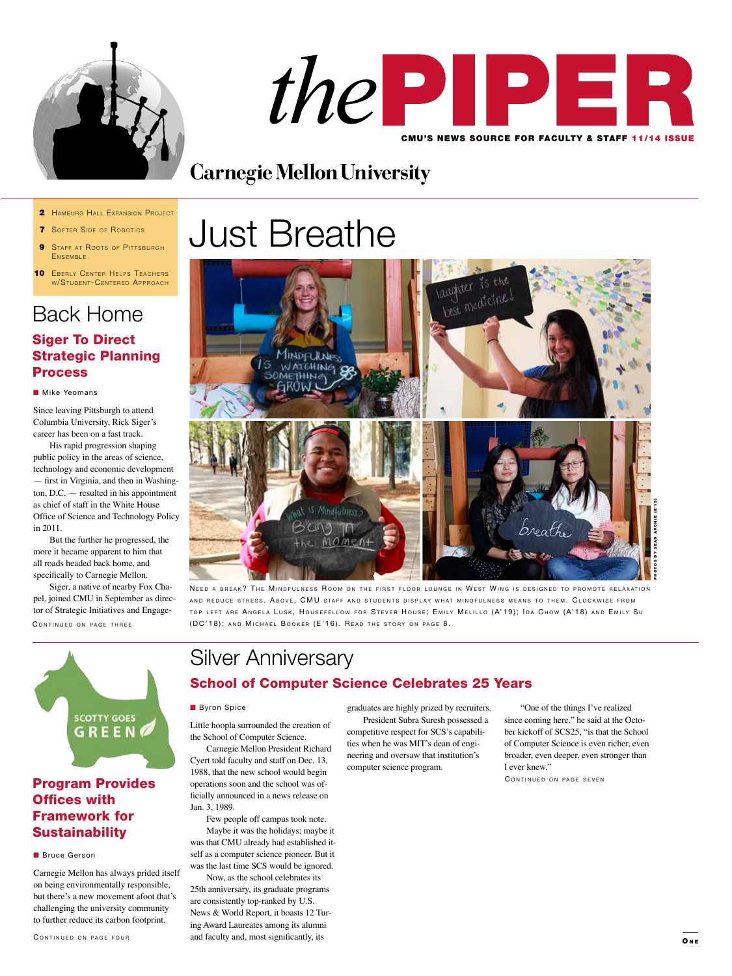



# **Carnegie Mellon University**

- 2 HAMBURG HALL EXPANSION PROJECT
- **7** SOFTER SIDE OF ROBOTICS
- **9** STAFF AT ROOTS OF PITTSBURGH ENSEMBLE
- **10 EBERLY CENTER HELPS TEACHERS** W/STUDENT-CENTERED APPROACH

# Back Home

## Siger To Direct Strategic Planning **Process**

### **Nike Yeomans**

Since leaving Pittsburgh to attend Columbia University, Rick Siger's career has been on a fast track.

His rapid progression shaping public policy in the areas of science, technology and economic development — first in Virginia, and then in Washington, D.C. — resulted in his appointment as chief of staff in the White House Office of Science and Technology Policy in 2011.

But the further he progressed, the more it became apparent to him that all roads headed back home, and specifically to Carnegie Mellon.

CONTINUED ON PAGE THREE Siger, a native of nearby Fox Chapel, joined CMU in September as director of Strategic Initiatives and Engage-





NEED A BREAK? THE MINDFULNESS ROOM ON THE FIRST FLOOR LOUNGE IN WEST WING IS DESIGNED TO PROMOTE RELAXATION AND REDUCE STRESS. ABOVE, CMU STAFF AND STUDENTS DISPLAY WHAT MINDFULNESS MEANS TO THEM. CLOCKWISE FROM TOP LEFT ARE ANGELA LUSK, HOUSEFELLOW FOR STEVER HOUSE; EMILY MELILLO (A'19); IDA CHOW (A'18) AND EMILY SU (DC'18); AND MICHAEL BOOKER (E'16). READ THE STORY ON PAGE 8.



## Program Provides Offices with Framework for **Sustainability**

#### **n** Bruce Gerson

Carnegie Mellon has always prided itself on being environmentally responsible, but there's a new movement afoot that's challenging the university community to further reduce its carbon footprint.

# Silver Anniversary School of Computer Science Celebrates 25 Years

### **Byron Spice**

Little hoopla surrounded the creation of the School of Computer Science.

Carnegie Mellon President Richard Cyert told faculty and staff on Dec. 13, 1988, that the new school would begin operations soon and the school was officially announced in a news release on Jan. 3, 1989.

Few people off campus took note. Maybe it was the holidays; maybe it was that CMU already had established itself as a computer science pioneer. But it was the last time SCS would be ignored.

Now, as the school celebrates its 25th anniversary, its graduate programs are consistently top-ranked by U.S. News & World Report, it boasts 12 Turing Award Laureates among its alumni and faculty and, most significantly, its

graduates are highly prized by recruiters. President Subra Suresh possessed a competitive respect for SCS's capabilities when he was MIT's dean of engineering and oversaw that institution's computer science program.

"One of the things I've realized since coming here," he said at the October kickoff of SCS25, "is that the School of Computer Science is even richer, even broader, even deeper, even stronger than I ever knew."

CONTINUED ON PAGE SEVEN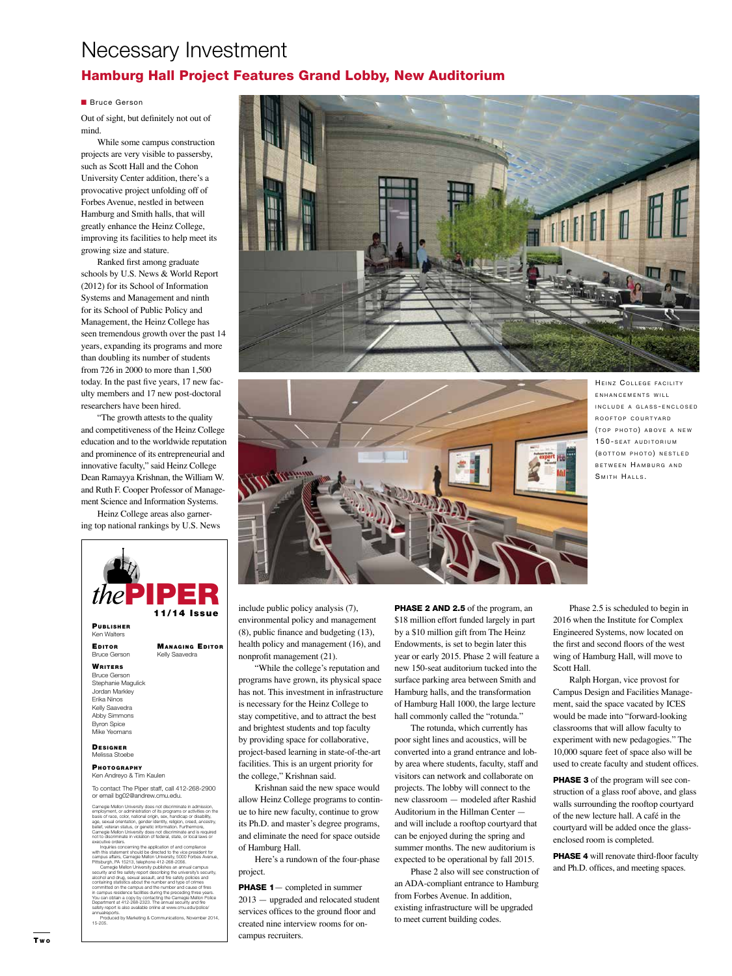# Necessary Investment

## Hamburg Hall Project Features Grand Lobby, New Auditorium

### **n** Bruce Gerson

Out of sight, but definitely not out of mind.

While some campus construction projects are very visible to passersby, such as Scott Hall and the Cohon University Center addition, there's a provocative project unfolding off of Forbes Avenue, nestled in between Hamburg and Smith halls, that will greatly enhance the Heinz College, improving its facilities to help meet its growing size and stature.

Ranked first among graduate schools by U.S. News & World Report (2012) for its School of Information Systems and Management and ninth for its School of Public Policy and Management, the Heinz College has seen tremendous growth over the past 14 years, expanding its programs and more than doubling its number of students from 726 in 2000 to more than 1,500 today. In the past five years, 17 new faculty members and 17 new post-doctoral researchers have been hired.

"The growth attests to the quality and competitiveness of the Heinz College education and to the worldwide reputation and prominence of its entrepreneurial and innovative faculty," said Heinz College Dean Ramayya Krishnan, the William W. and Ruth F. Cooper Professor of Management Science and Information Systems.

Heinz College areas also garnering top national rankings by U.S. News



committed on the campus and the number and cause of fires<br>in campus residence facilities during the preceding three years.<br>You can obtain a copy by contacting the Carnegie Mellon Police<br>Department at 412-268-2323. The annu

Produced by Marketing & Communications, November 2014, 15-205.





HEINZ COLLEGE FACILITY ENHANCEMENTS WILL IN C L U D E A G L A S S - EN C L O S E D ROOFTOP COURTYARD (TOP PHOTO) ABOVE A NEW 150-SEAT AUDITORIUM (BOTTOM PHOTO) NESTLED BETWEEN HAMBURG AND SMITH HALLS.

include public policy analysis (7), environmental policy and management (8), public finance and budgeting (13), health policy and management (16), and nonprofit management (21).

"While the college's reputation and programs have grown, its physical space has not. This investment in infrastructure is necessary for the Heinz College to stay competitive, and to attract the best and brightest students and top faculty by providing space for collaborative, project-based learning in state-of-the-art facilities. This is an urgent priority for the college," Krishnan said.

Krishnan said the new space would allow Heinz College programs to continue to hire new faculty, continue to grow its Ph.D. and master's degree programs, and eliminate the need for space outside of Hamburg Hall.

Here's a rundown of the four-phase project.

**PHASE 1** — completed in summer 2013 — upgraded and relocated student services offices to the ground floor and created nine interview rooms for oncampus recruiters.

PHASE 2 AND 2.5 of the program, an \$18 million effort funded largely in part by a \$10 million gift from The Heinz Endowments, is set to begin later this year or early 2015. Phase 2 will feature a new 150-seat auditorium tucked into the surface parking area between Smith and Hamburg halls, and the transformation of Hamburg Hall 1000, the large lecture hall commonly called the "rotunda."

The rotunda, which currently has poor sight lines and acoustics, will be converted into a grand entrance and lobby area where students, faculty, staff and visitors can network and collaborate on projects. The lobby will connect to the new classroom — modeled after Rashid Auditorium in the Hillman Center and will include a rooftop courtyard that can be enjoyed during the spring and summer months. The new auditorium is expected to be operational by fall 2015.

Phase 2 also will see construction of an ADA-compliant entrance to Hamburg from Forbes Avenue. In addition, existing infrastructure will be upgraded to meet current building codes.

Phase 2.5 is scheduled to begin in 2016 when the Institute for Complex Engineered Systems, now located on the first and second floors of the west wing of Hamburg Hall, will move to Scott Hall.

Ralph Horgan, vice provost for Campus Design and Facilities Management, said the space vacated by ICES would be made into "forward-looking classrooms that will allow faculty to experiment with new pedagogies." The 10,000 square feet of space also will be used to create faculty and student offices.

**PHASE 3** of the program will see construction of a glass roof above, and glass walls surrounding the rooftop courtyard of the new lecture hall. A café in the courtyard will be added once the glassenclosed room is completed.

**PHASE 4** will renovate third-floor faculty and Ph.D. offices, and meeting spaces.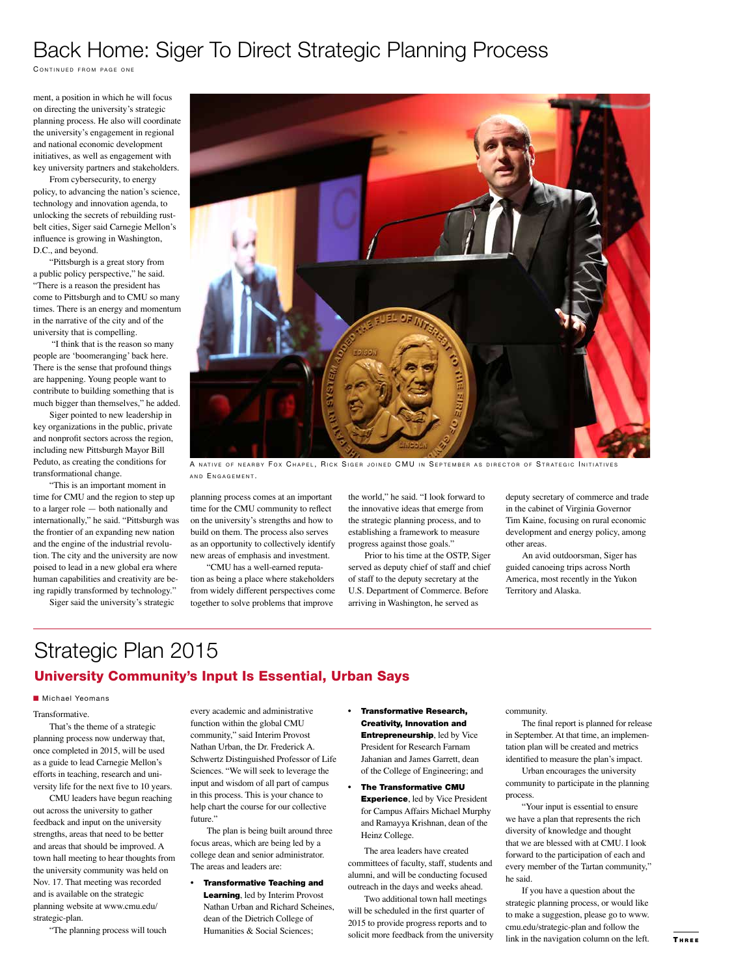# Back Home: Siger To Direct Strategic Planning Process

CONTINUED FROM PAGE ONE

ment, a position in which he will focus on directing the university's strategic planning process. He also will coordinate the university's engagement in regional and national economic development initiatives, as well as engagement with key university partners and stakeholders.

From cybersecurity, to energy policy, to advancing the nation's science, technology and innovation agenda, to unlocking the secrets of rebuilding rustbelt cities, Siger said Carnegie Mellon's influence is growing in Washington, D.C., and beyond.

"Pittsburgh is a great story from a public policy perspective," he said. "There is a reason the president has come to Pittsburgh and to CMU so many times. There is an energy and momentum in the narrative of the city and of the university that is compelling.

 "I think that is the reason so many people are 'boomeranging' back here. There is the sense that profound things are happening. Young people want to contribute to building something that is much bigger than themselves," he added.

Siger pointed to new leadership in key organizations in the public, private and nonprofit sectors across the region, including new Pittsburgh Mayor Bill Peduto, as creating the conditions for transformational change.

"This is an important moment in time for CMU and the region to step up to a larger role — both nationally and internationally," he said. "Pittsburgh was the frontier of an expanding new nation and the engine of the industrial revolution. The city and the university are now poised to lead in a new global era where human capabilities and creativity are being rapidly transformed by technology."

Siger said the university's strategic



A NATIVE OF NEARBY FOX CHAPEL, RICK SIGER JOINED CMU IN SEPTEMBER AS DIRECTOR OF STRATEGIC INITIATIVES AND ENGAGEMENT.

planning process comes at an important time for the CMU community to reflect on the university's strengths and how to build on them. The process also serves as an opportunity to collectively identify new areas of emphasis and investment.

"CMU has a well-earned reputation as being a place where stakeholders from widely different perspectives come together to solve problems that improve

the world," he said. "I look forward to the innovative ideas that emerge from the strategic planning process, and to establishing a framework to measure progress against those goals."

Prior to his time at the OSTP, Siger served as deputy chief of staff and chief of staff to the deputy secretary at the U.S. Department of Commerce. Before arriving in Washington, he served as

deputy secretary of commerce and trade in the cabinet of Virginia Governor Tim Kaine, focusing on rural economic development and energy policy, among other areas.

An avid outdoorsman, Siger has guided canoeing trips across North America, most recently in the Yukon Territory and Alaska.

# Strategic Plan 2015 University Community's Input Is Essential, Urban Says

#### **n** Michael Yeomans

Transformative.

That's the theme of a strategic planning process now underway that, once completed in 2015, will be used as a guide to lead Carnegie Mellon's efforts in teaching, research and university life for the next five to 10 years.

CMU leaders have begun reaching across the university to gather feedback and input on the university strengths, areas that need to be better and areas that should be improved. A town hall meeting to hear thoughts from the university community was held on Nov. 17. That meeting was recorded and is available on the strategic planning website at www.cmu.edu/ strategic-plan.

"The planning process will touch

every academic and administrative function within the global CMU community," said Interim Provost Nathan Urban, the Dr. Frederick A. Schwertz Distinguished Professor of Life Sciences. "We will seek to leverage the input and wisdom of all part of campus in this process. This is your chance to help chart the course for our collective future."

The plan is being built around three focus areas, which are being led by a college dean and senior administrator. The areas and leaders are:

• Transformative Teaching and Learning, led by Interim Provost Nathan Urban and Richard Scheines, dean of the Dietrich College of Humanities & Social Sciences;

- Transformative Research, Creativity, Innovation and Entrepreneurship, led by Vice President for Research Farnam Jahanian and James Garrett, dean of the College of Engineering; and
- The Transformative CMU **Experience**, led by Vice President for Campus Affairs Michael Murphy and Ramayya Krishnan, dean of the Heinz College.

The area leaders have created committees of faculty, staff, students and alumni, and will be conducting focused outreach in the days and weeks ahead.

Two additional town hall meetings will be scheduled in the first quarter of 2015 to provide progress reports and to solicit more feedback from the university community.

The final report is planned for release in September. At that time, an implementation plan will be created and metrics identified to measure the plan's impact.

Urban encourages the university community to participate in the planning process.

"Your input is essential to ensure we have a plan that represents the rich diversity of knowledge and thought that we are blessed with at CMU. I look forward to the participation of each and every member of the Tartan community," he said.

If you have a question about the strategic planning process, or would like to make a suggestion, please go to www. cmu.edu/strategic-plan and follow the link in the navigation column on the left.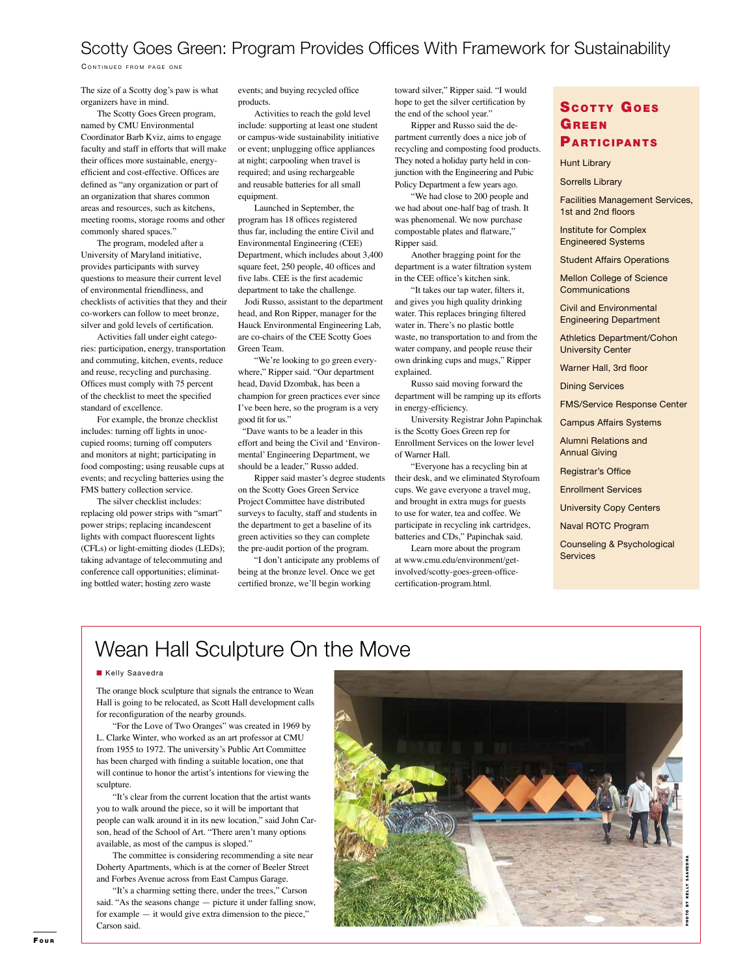## Scotty Goes Green: Program Provides Offices With Framework for Sustainability

CONTINUED FROM PAGE ONE

The size of a Scotty dog's paw is what organizers have in mind.

The Scotty Goes Green program, named by CMU Environmental Coordinator Barb Kviz, aims to engage faculty and staff in efforts that will make their offices more sustainable, energyefficient and cost-effective. Offices are defined as "any organization or part of an organization that shares common areas and resources, such as kitchens, meeting rooms, storage rooms and other commonly shared spaces."

The program, modeled after a University of Maryland initiative, provides participants with survey questions to measure their current level of environmental friendliness, and checklists of activities that they and their co-workers can follow to meet bronze, silver and gold levels of certification.

Activities fall under eight categories: participation, energy, transportation and commuting, kitchen, events, reduce and reuse, recycling and purchasing. Offices must comply with 75 percent of the checklist to meet the specified standard of excellence.

For example, the bronze checklist includes: turning off lights in unoccupied rooms; turning off computers and monitors at night; participating in food composting; using reusable cups at events; and recycling batteries using the FMS battery collection service.

The silver checklist includes: replacing old power strips with "smart" power strips; replacing incandescent lights with compact fluorescent lights (CFLs) or light-emitting diodes (LEDs); taking advantage of telecommuting and conference call opportunities; eliminating bottled water; hosting zero waste

events; and buying recycled office products.

Activities to reach the gold level include: supporting at least one student or campus-wide sustainability initiative or event; unplugging office appliances at night; carpooling when travel is required; and using rechargeable and reusable batteries for all small equipment.

Launched in September, the program has 18 offices registered thus far, including the entire Civil and Environmental Engineering (CEE) Department, which includes about 3,400 square feet, 250 people, 40 offices and five labs. CEE is the first academic department to take the challenge.

 Jodi Russo, assistant to the department head, and Ron Ripper, manager for the Hauck Environmental Engineering Lab, are co-chairs of the CEE Scotty Goes Green Team.

"We're looking to go green everywhere," Ripper said. "Our department head, David Dzombak, has been a champion for green practices ever since I've been here, so the program is a very good fit for us."

 "Dave wants to be a leader in this effort and being the Civil and 'Environmental' Engineering Department, we should be a leader," Russo added.

Ripper said master's degree students on the Scotty Goes Green Service Project Committee have distributed surveys to faculty, staff and students in the department to get a baseline of its green activities so they can complete the pre-audit portion of the program.

"I don't anticipate any problems of being at the bronze level. Once we get certified bronze, we'll begin working

toward silver," Ripper said. "I would hope to get the silver certification by the end of the school year."

Ripper and Russo said the department currently does a nice job of recycling and composting food products. They noted a holiday party held in conjunction with the Engineering and Pubic Policy Department a few years ago.

"We had close to 200 people and we had about one-half bag of trash. It was phenomenal. We now purchase compostable plates and flatware," Ripper said.

Another bragging point for the department is a water filtration system in the CEE office's kitchen sink.

"It takes our tap water, filters it, and gives you high quality drinking water. This replaces bringing filtered water in. There's no plastic bottle waste, no transportation to and from the water company, and people reuse their own drinking cups and mugs," Ripper explained.

Russo said moving forward the department will be ramping up its efforts in energy-efficiency.

University Registrar John Papinchak is the Scotty Goes Green rep for Enrollment Services on the lower level of Warner Hall.

"Everyone has a recycling bin at their desk, and we eliminated Styrofoam cups. We gave everyone a travel mug, and brought in extra mugs for guests to use for water, tea and coffee. We participate in recycling ink cartridges, batteries and CDs," Papinchak said.

Learn more about the program at www.cmu.edu/environment/getinvolved/scotty-goes-green-officecertification-program.html.

## **SCOTTY GOES GREEN PARTICIPANTS**

Hunt Library

Sorrells Library

Facilities Management Services, 1st and 2nd floors

Institute for Complex Engineered Systems

Student Affairs Operations

Mellon College of Science **Communications** 

Civil and Environmental Engineering Department

Athletics Department/Cohon University Center

Warner Hall, 3rd floor

Dining Services

FMS/Service Response Center

Campus Affairs Systems

Alumni Relations and Annual Giving

Registrar's Office

Enrollment Services

University Copy Centers

Naval ROTC Program

Counseling & Psychological **Services** 

# Wean Hall Sculpture On the Move

#### **Kelly Saavedra**

The orange block sculpture that signals the entrance to Wean Hall is going to be relocated, as Scott Hall development calls for reconfiguration of the nearby grounds.

"For the Love of Two Oranges" was created in 1969 by L. Clarke Winter, who worked as an art professor at CMU from 1955 to 1972. The university's Public Art Committee has been charged with finding a suitable location, one that will continue to honor the artist's intentions for viewing the sculpture.

"It's clear from the current location that the artist wants you to walk around the piece, so it will be important that people can walk around it in its new location," said John Carson, head of the School of Art. "There aren't many options available, as most of the campus is sloped."

The committee is considering recommending a site near Doherty Apartments, which is at the corner of Beeler Street and Forbes Avenue across from East Campus Garage.

"It's a charming setting there, under the trees," Carson said. "As the seasons change — picture it under falling snow, for example — it would give extra dimension to the piece," Carson said.

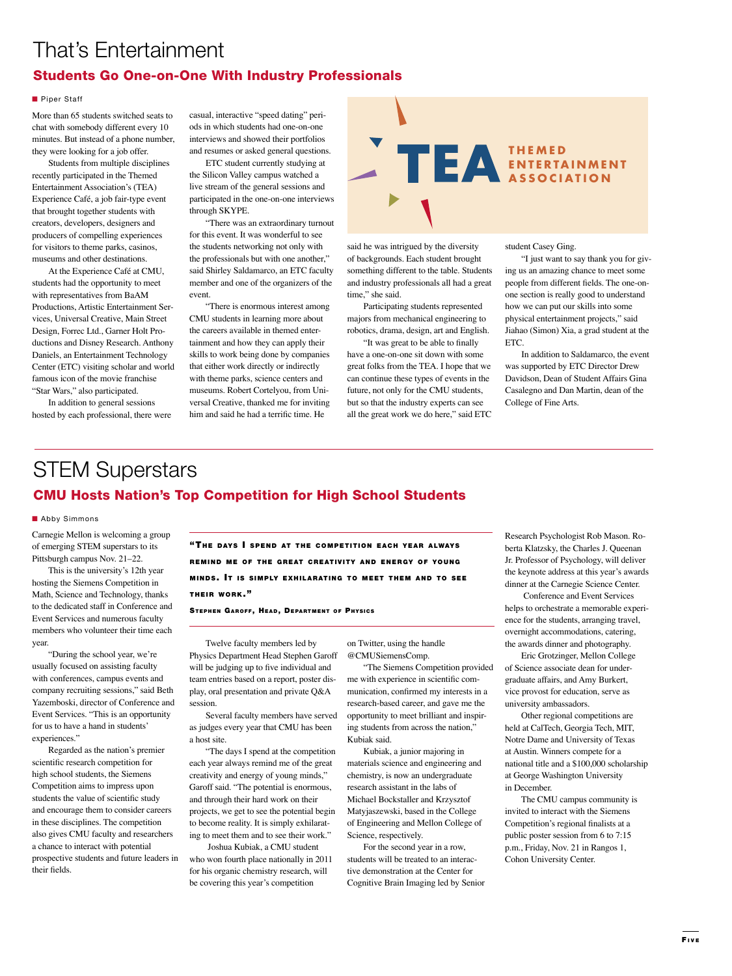# That's Entertainment Students Go One-on-One With Industry Professionals

#### **n** Piper Staff

More than 65 students switched seats to chat with somebody different every 10 minutes. But instead of a phone number, they were looking for a job offer.

Students from multiple disciplines recently participated in the Themed Entertainment Association's (TEA) Experience Café, a job fair-type event that brought together students with creators, developers, designers and producers of compelling experiences for visitors to theme parks, casinos, museums and other destinations.

At the Experience Café at CMU, students had the opportunity to meet with representatives from BaAM Productions, Artistic Entertainment Services, Universal Creative, Main Street Design, Forrec Ltd., Garner Holt Productions and Disney Research. Anthony Daniels, an Entertainment Technology Center (ETC) visiting scholar and world famous icon of the movie franchise "Star Wars," also participated.

In addition to general sessions hosted by each professional, there were casual, interactive "speed dating" periods in which students had one-on-one interviews and showed their portfolios and resumes or asked general questions.

ETC student currently studying at the Silicon Valley campus watched a live stream of the general sessions and participated in the one-on-one interviews through SKYPE.

"There was an extraordinary turnout for this event. It was wonderful to see the students networking not only with the professionals but with one another," said Shirley Saldamarco, an ETC faculty member and one of the organizers of the event.

"There is enormous interest among CMU students in learning more about the careers available in themed entertainment and how they can apply their skills to work being done by companies that either work directly or indirectly with theme parks, science centers and museums. Robert Cortelyou, from Universal Creative, thanked me for inviting him and said he had a terrific time. He



said he was intrigued by the diversity of backgrounds. Each student brought something different to the table. Students and industry professionals all had a great time," she said.

Participating students represented majors from mechanical engineering to robotics, drama, design, art and English.

"It was great to be able to finally have a one-on-one sit down with some great folks from the TEA. I hope that we can continue these types of events in the future, not only for the CMU students, but so that the industry experts can see all the great work we do here," said ETC student Casey Ging.

"I just want to say thank you for giving us an amazing chance to meet some people from different fields. The one-onone section is really good to understand how we can put our skills into some physical entertainment projects," said Jiahao (Simon) Xia, a grad student at the ETC.

In addition to Saldamarco, the event was supported by ETC Director Drew Davidson, Dean of Student Affairs Gina Casalegno and Dan Martin, dean of the College of Fine Arts.

# STEM Superstars CMU Hosts Nation's Top Competition for High School Students

#### **n** Abby Simmons

Carnegie Mellon is welcoming a group of emerging STEM superstars to its Pittsburgh campus Nov. 21–22.

This is the university's 12th year hosting the Siemens Competition in Math, Science and Technology, thanks to the dedicated staff in Conference and Event Services and numerous faculty members who volunteer their time each year.

"During the school year, we're usually focused on assisting faculty with conferences, campus events and company recruiting sessions," said Beth Yazemboski, director of Conference and Event Services. "This is an opportunity for us to have a hand in students' experiences."

Regarded as the nation's premier scientific research competition for high school students, the Siemens Competition aims to impress upon students the value of scientific study and encourage them to consider careers in these disciplines. The competition also gives CMU faculty and researchers a chance to interact with potential prospective students and future leaders in their fields.

"THE DAYS I SPEND AT THE COMPETITION EACH YEAR ALWAYS REMIND ME OF THE GREAT CREATIVITY AND ENERGY OF YOUNG MINDS. IT IS SIMPLY EXHILARATING TO MEET THEM AND TO SEE THEIR WORK."

STEPHEN GAROFF, HEAD, DEPARTMENT OF PHYSICS

Twelve faculty members led by Physics Department Head Stephen Garoff will be judging up to five individual and team entries based on a report, poster display, oral presentation and private Q&A session.

Several faculty members have served as judges every year that CMU has been a host site.

"The days I spend at the competition each year always remind me of the great creativity and energy of young minds," Garoff said. "The potential is enormous, and through their hard work on their projects, we get to see the potential begin to become reality. It is simply exhilarating to meet them and to see their work."

 Joshua Kubiak, a CMU student who won fourth place nationally in 2011 for his organic chemistry research, will be covering this year's competition

on Twitter, using the handle

@CMUSiemensComp. "The Siemens Competition provided

me with experience in scientific communication, confirmed my interests in a research-based career, and gave me the opportunity to meet brilliant and inspiring students from across the nation," Kubiak said.

Kubiak, a junior majoring in materials science and engineering and chemistry, is now an undergraduate research assistant in the labs of Michael Bockstaller and Krzysztof Matyjaszewski, based in the College of Engineering and Mellon College of Science, respectively.

For the second year in a row, students will be treated to an interactive demonstration at the Center for Cognitive Brain Imaging led by Senior Research Psychologist Rob Mason. Roberta Klatzsky, the Charles J. Queenan Jr. Professor of Psychology, will deliver the keynote address at this year's awards dinner at the Carnegie Science Center.

 Conference and Event Services helps to orchestrate a memorable experience for the students, arranging travel, overnight accommodations, catering, the awards dinner and photography.

Eric Grotzinger, Mellon College of Science associate dean for undergraduate affairs, and Amy Burkert, vice provost for education, serve as university ambassadors.

Other regional competitions are held at CalTech, Georgia Tech, MIT, Notre Dame and University of Texas at Austin. Winners compete for a national title and a \$100,000 scholarship at George Washington University in December.

The CMU campus community is ted to interact with the Siemer Competition's regional finalists at a public poster session from 6 to 7:15 p.m., Friday, Nov. 21 in Rangos 1, Cohon University Center.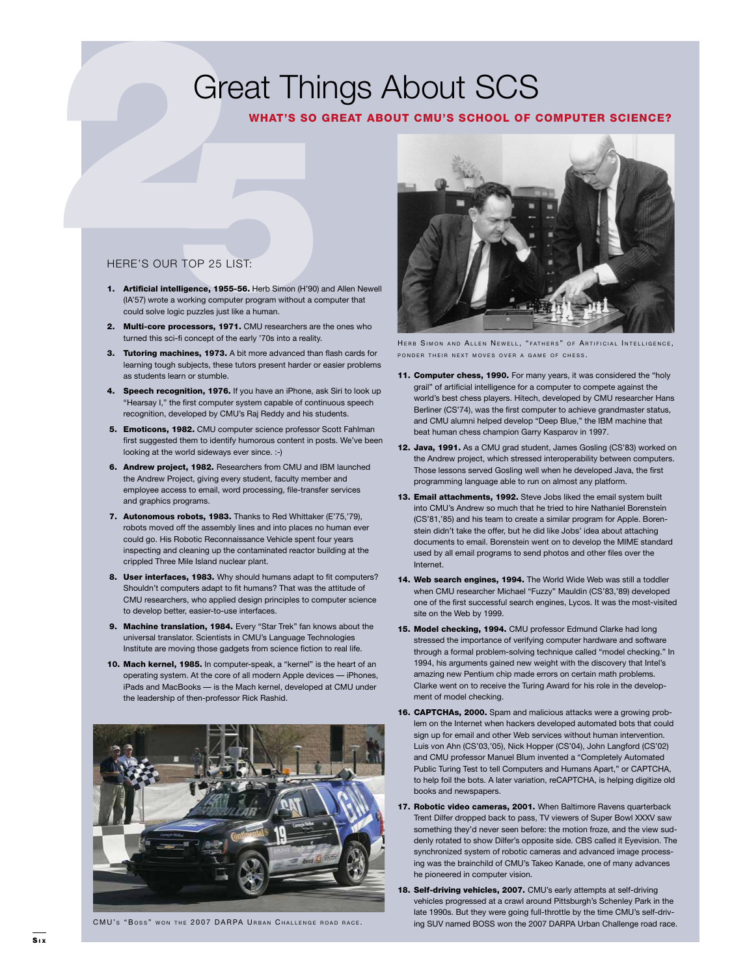# Great Things About SCS

## WHAT'S SO GREAT ABOUT CMU'S SCHOOL OF COMPUTER SCIENCE?

## HERE'S OUR TOP 25 LIST:

- 1. Artificial intelligence, 1955-56. Herb Simon (H'90) and Allen Newell (IA'57) wrote a working computer program without a computer that could solve logic puzzles just like a human.
- 2. Multi-core processors, 1971. CMU researchers are the ones who turned this sci-fi concept of the early '70s into a reality.
- 3. Tutoring machines, 1973. A bit more advanced than flash cards for learning tough subjects, these tutors present harder or easier problems as students learn or stumble.
- 4. Speech recognition, 1976. If you have an iPhone, ask Siri to look up "Hearsay I," the first computer system capable of continuous speech recognition, developed by CMU's Raj Reddy and his students.
- 5. Emoticons, 1982. CMU computer science professor Scott Fahlman first suggested them to identify humorous content in posts. We've been looking at the world sideways ever since. :-)
- 6. Andrew project, 1982. Researchers from CMU and IBM launched the Andrew Project, giving every student, faculty member and employee access to email, word processing, file-transfer services and graphics programs.
- 7. Autonomous robots, 1983. Thanks to Red Whittaker (E'75,'79), robots moved off the assembly lines and into places no human ever could go. His Robotic Reconnaissance Vehicle spent four years inspecting and cleaning up the contaminated reactor building at the crippled Three Mile Island nuclear plant.
- 8. User interfaces, 1983. Why should humans adapt to fit computers? Shouldn't computers adapt to fit humans? That was the attitude of CMU researchers, who applied design principles to computer science to develop better, easier-to-use interfaces.
- 9. Machine translation, 1984. Every "Star Trek" fan knows about the universal translator. Scientists in CMU's Language Technologies Institute are moving those gadgets from science fiction to real life.
- 10. Mach kernel, 1985. In computer-speak, a "kernel" is the heart of an operating system. At the core of all modern Apple devices — iPhones, iPads and MacBooks — is the Mach kernel, developed at CMU under the leadership of then-professor Rick Rashid.





HERB SIMON AND ALLEN NEWELL, "FATHERS" OF ARTIFICIAL INTELLIGENCE, PONDER THEIR NEXT MOVES OVER A GAME OF CHESS.

- 11. Computer chess, 1990. For many years, it was considered the "holy grail" of artificial intelligence for a computer to compete against the world's best chess players. Hitech, developed by CMU researcher Hans Berliner (CS'74), was the first computer to achieve grandmaster status, and CMU alumni helped develop "Deep Blue," the IBM machine that beat human chess champion Garry Kasparov in 1997.
- 12. Java, 1991. As a CMU grad student, James Gosling (CS'83) worked on the Andrew project, which stressed interoperability between computers. Those lessons served Gosling well when he developed Java, the first programming language able to run on almost any platform.
- 13. Email attachments, 1992. Steve Jobs liked the email system built into CMU's Andrew so much that he tried to hire Nathaniel Borenstein (CS'81,'85) and his team to create a similar program for Apple. Borenstein didn't take the offer, but he did like Jobs' idea about attaching documents to email. Borenstein went on to develop the MIME standard used by all email programs to send photos and other files over the Internet.
- 14. Web search engines, 1994. The World Wide Web was still a toddler when CMU researcher Michael "Fuzzy" Mauldin (CS'83,'89) developed one of the first successful search engines, Lycos. It was the most-visited site on the Web by 1999.
- 15. Model checking, 1994. CMU professor Edmund Clarke had long stressed the importance of verifying computer hardware and software through a formal problem-solving technique called "model checking." In 1994, his arguments gained new weight with the discovery that Intel's amazing new Pentium chip made errors on certain math problems. Clarke went on to receive the Turing Award for his role in the development of model checking.
- 16. CAPTCHAs, 2000. Spam and malicious attacks were a growing problem on the Internet when hackers developed automated bots that could sign up for email and other Web services without human intervention. Luis von Ahn (CS'03,'05), Nick Hopper (CS'04), John Langford (CS'02) and CMU professor Manuel Blum invented a "Completely Automated Public Turing Test to tell Computers and Humans Apart," or CAPTCHA, to help foil the bots. A later variation, reCAPTCHA, is helping digitize old books and newspapers.
- 17. Robotic video cameras, 2001. When Baltimore Ravens quarterback Trent Dilfer dropped back to pass, TV viewers of Super Bowl XXXV saw something they'd never seen before: the motion froze, and the view suddenly rotated to show Dilfer's opposite side. CBS called it Eyevision. The synchronized system of robotic cameras and advanced image processing was the brainchild of CMU's Takeo Kanade, one of many advances he pioneered in computer vision.
- 18. Self-driving vehicles, 2007. CMU's early attempts at self-driving vehicles progressed at a crawl around Pittsburgh's Schenley Park in the late 1990s. But they were going full-throttle by the time CMU's self-driv-CMU's "Boss" won THE 2007 DARPA URBAN CHALLENGE ROAD RACE. ing SUV named BOSS won the 2007 DARPA Urban Challenge road race.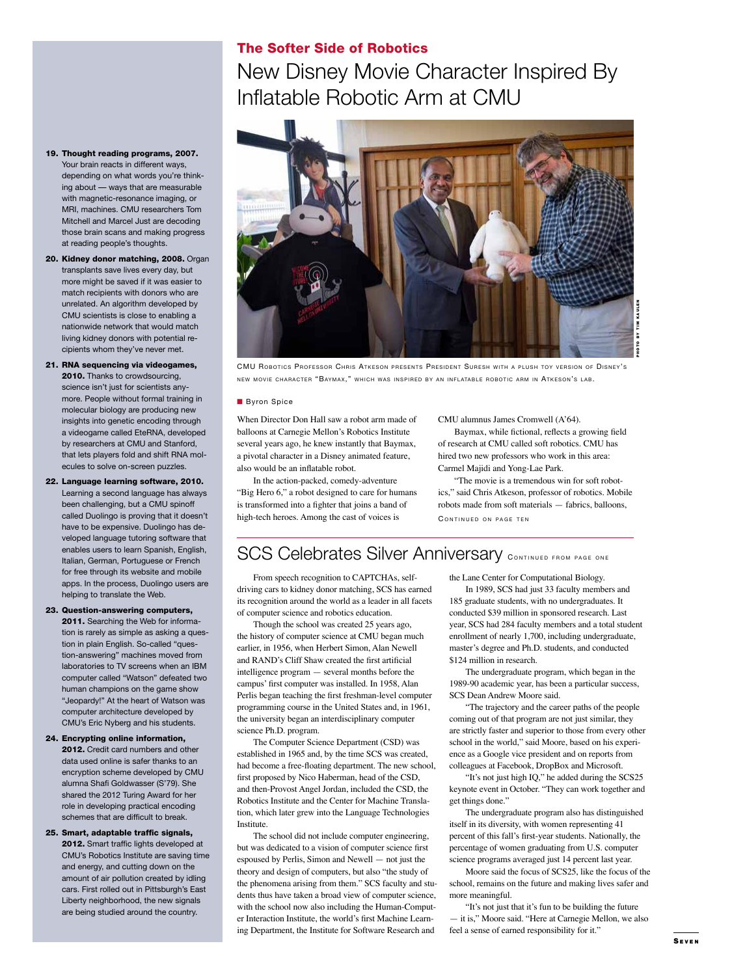## The Softer Side of Robotics

New Disney Movie Character Inspired By Inflatable Robotic Arm at CMU



CMU ROBOTICS PROFESSOR CHRIS ATKESON PRESENTS PRESIDENT SURESH WITH A PLUSH TOY VERSION OF DISNEY'S NEW MOVIE CHARACTER "BAYMAX," WHICH WAS INSPIRED BY AN INFLATABLE ROBOTIC ARM IN ATKESON'S LAB.

#### **Byron Spice**

When Director Don Hall saw a robot arm made of balloons at Carnegie Mellon's Robotics Institute several years ago, he knew instantly that Baymax, a pivotal character in a Disney animated feature, also would be an inflatable robot.

In the action-packed, comedy-adventure "Big Hero 6," a robot designed to care for humans is transformed into a fighter that joins a band of high-tech heroes. Among the cast of voices is

CMU alumnus James Cromwell (A'64).

Baymax, while fictional, reflects a growing field of research at CMU called soft robotics. CMU has hired two new professors who work in this area: Carmel Majidi and Yong-Lae Park.

"The movie is a tremendous win for soft robotics," said Chris Atkeson, professor of robotics. Mobile robots made from soft materials — fabrics, balloons, CONTINUED ON PAGE TEN

# SCS Celebrates Silver Anniversary CONTINUED FROM PAGE ONE

From speech recognition to CAPTCHAs, selfdriving cars to kidney donor matching, SCS has earned its recognition around the world as a leader in all facets of computer science and robotics education.

Though the school was created 25 years ago, the history of computer science at CMU began much earlier, in 1956, when Herbert Simon, Alan Newell and RAND's Cliff Shaw created the first artificial intelligence program — several months before the campus' first computer was installed. In 1958, Alan Perlis began teaching the first freshman-level computer programming course in the United States and, in 1961, the university began an interdisciplinary computer science Ph.D. program.

The Computer Science Department (CSD) was established in 1965 and, by the time SCS was created, had become a free-floating department. The new school, first proposed by Nico Haberman, head of the CSD, and then-Provost Angel Jordan, included the CSD, the Robotics Institute and the Center for Machine Translation, which later grew into the Language Technologies Institute.

The school did not include computer engineering, but was dedicated to a vision of computer science first espoused by Perlis, Simon and Newell — not just the theory and design of computers, but also "the study of the phenomena arising from them." SCS faculty and students thus have taken a broad view of computer science, with the school now also including the Human-Computer Interaction Institute, the world's first Machine Learning Department, the Institute for Software Research and

the Lane Center for Computational Biology.

In 1989, SCS had just 33 faculty members and 185 graduate students, with no undergraduates. It conducted \$39 million in sponsored research. Last year, SCS had 284 faculty members and a total student enrollment of nearly 1,700, including undergraduate, master's degree and Ph.D. students, and conducted \$124 million in research.

The undergraduate program, which began in the 1989-90 academic year, has been a particular success, SCS Dean Andrew Moore said.

"The trajectory and the career paths of the people coming out of that program are not just similar, they are strictly faster and superior to those from every other school in the world," said Moore, based on his experience as a Google vice president and on reports from colleagues at Facebook, DropBox and Microsoft.

"It's not just high IQ," he added during the SCS25 keynote event in October. "They can work together and get things done."

The undergraduate program also has distinguished itself in its diversity, with women representing 41 percent of this fall's first-year students. Nationally, the percentage of women graduating from U.S. computer science programs averaged just 14 percent last year.

Moore said the focus of SCS25, like the focus of the school, remains on the future and making lives safer and more meaningful.

"It's not just that it's fun to be building the future — it is," Moore said. "Here at Carnegie Mellon, we also feel a sense of earned responsibility for it."

## 19. Thought reading programs, 2007.

Your brain reacts in different ways, depending on what words you're thinking about — ways that are measurable with magnetic-resonance imaging, or MRI, machines. CMU researchers Tom Mitchell and Marcel Just are decoding those brain scans and making progress at reading people's thoughts.

20. Kidney donor matching, 2008. Organ transplants save lives every day, but more might be saved if it was easier to match recipients with donors who are unrelated. An algorithm developed by CMU scientists is close to enabling a nationwide network that would match living kidney donors with potential recipients whom they've never met.

21. RNA sequencing via videogames, 2010. Thanks to crowdsourcing, science isn't just for scientists anymore. People without formal training in molecular biology are producing new insights into genetic encoding through a videogame called EteRNA, developed by researchers at CMU and Stanford, that lets players fold and shift RNA molecules to solve on-screen puzzles.

22. Language learning software, 2010. Learning a second language has always been challenging, but a CMU spinoff called Duolingo is proving that it doesn't have to be expensive. Duolingo has developed language tutoring software that enables users to learn Spanish, English, Italian, German, Portuguese or French for free through its website and mobile apps. In the process, Duolingo users are helping to translate the Web.

23. Question-answering computers, 2011. Searching the Web for information is rarely as simple as asking a question in plain English. So-called "question-answering" machines moved from laboratories to TV screens when an IBM computer called "Watson" defeated two human champions on the game show "Jeopardy!" At the heart of Watson was computer architecture developed by CMU's Eric Nyberg and his students.

24. Encrypting online information,

2012. Credit card numbers and other data used online is safer thanks to an encryption scheme developed by CMU alumna Shafi Goldwasser (S'79). She shared the 2012 Turing Award for her role in developing practical encoding schemes that are difficult to break.

### 25. Smart, adaptable traffic signals,

2012. Smart traffic lights developed at CMU's Robotics Institute are saving time and energy, and cutting down on the amount of air pollution created by idling cars. First rolled out in Pittsburgh's East Liberty neighborhood, the new signals are being studied around the country.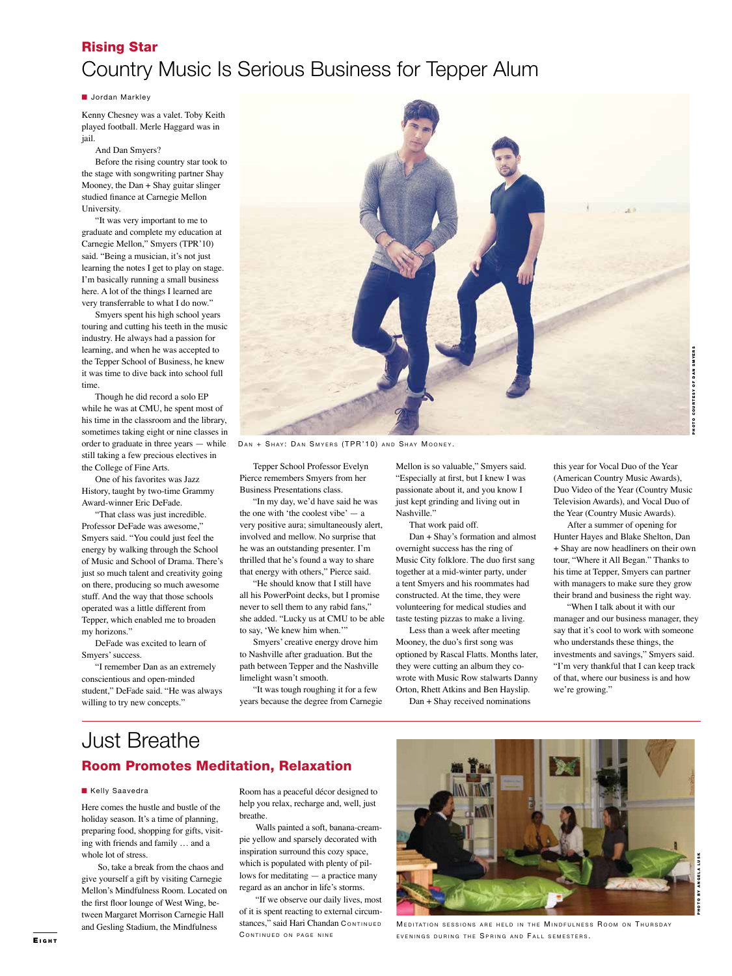# Rising Star Country Music Is Serious Business for Tepper Alum

#### **n** Jordan Markley

Kenny Chesney was a valet. Toby Keith played football. Merle Haggard was in jail.

And Dan Smyers?

Before the rising country star took to the stage with songwriting partner Shay Mooney, the Dan + Shay guitar slinger studied finance at Carnegie Mellon University.

"It was very important to me to graduate and complete my education at Carnegie Mellon," Smyers (TPR'10) said. "Being a musician, it's not just learning the notes I get to play on stage. I'm basically running a small business here. A lot of the things I learned are very transferrable to what I do now."

Smyers spent his high school years touring and cutting his teeth in the music industry. He always had a passion for learning, and when he was accepted to the Tepper School of Business, he knew it was time to dive back into school full time.

Though he did record a solo EP while he was at CMU, he spent most of his time in the classroom and the library, sometimes taking eight or nine classes in order to graduate in three years — while still taking a few precious electives in the College of Fine Arts.

One of his favorites was Jazz History, taught by two-time Grammy Award-winner Eric DeFade.

"That class was just incredible. Professor DeFade was awesome," Smyers said. "You could just feel the energy by walking through the School of Music and School of Drama. There's just so much talent and creativity going on there, producing so much awesome stuff. And the way that those schools operated was a little different from Tepper, which enabled me to broaden my horizons."

DeFade was excited to learn of Smyers' success.

"I remember Dan as an extremely conscientious and open-minded student," DeFade said. "He was always willing to try new concepts."



DAN + SHAY: DAN SMYERS (TPR'10) AND SHAY MOONEY.

Tepper School Professor Evelyn Pierce remembers Smyers from her Business Presentations class.

"In my day, we'd have said he was the one with 'the coolest vibe'  $-$  a very positive aura; simultaneously alert, involved and mellow. No surprise that he was an outstanding presenter. I'm thrilled that he's found a way to share that energy with others," Pierce said.

"He should know that I still have all his PowerPoint decks, but I promise never to sell them to any rabid fans," she added. "Lucky us at CMU to be able to say, 'We knew him when.'"

Smyers' creative energy drove him to Nashville after graduation. But the path between Tepper and the Nashville limelight wasn't smooth.

"It was tough roughing it for a few years because the degree from Carnegie Mellon is so valuable," Smyers said. "Especially at first, but I knew I was passionate about it, and you know I just kept grinding and living out in Nashville."

That work paid off.

Dan + Shay's formation and almost overnight success has the ring of Music City folklore. The duo first sang together at a mid-winter party, under a tent Smyers and his roommates had constructed. At the time, they were volunteering for medical studies and taste testing pizzas to make a living.

Less than a week after meeting Mooney, the duo's first song was optioned by Rascal Flatts. Months later, they were cutting an album they cowrote with Music Row stalwarts Danny Orton, Rhett Atkins and Ben Hayslip.

Dan + Shay received nominations

this year for Vocal Duo of the Year (American Country Music Awards), Duo Video of the Year (Country Music Television Awards), and Vocal Duo of the Year (Country Music Awards).

After a summer of opening for Hunter Hayes and Blake Shelton, Dan + Shay are now headliners on their own tour, "Where it All Began." Thanks to his time at Tepper, Smyers can partner with managers to make sure they grow their brand and business the right way.

"When I talk about it with our manager and our business manager, they say that it's cool to work with someone who understands these things, the investments and savings," Smyers said. "I'm very thankful that I can keep track of that, where our business is and how we're growing."

## Just Breathe Room Promotes Meditation, Relaxation

#### **Kelly Saavedra**

Here comes the hustle and bustle of the holiday season. It's a time of planning, preparing food, shopping for gifts, visiting with friends and family … and a whole lot of stress.

So, take a break from the chaos and give yourself a gift by visiting Carnegie Mellon's Mindfulness Room. Located on the first floor lounge of West Wing, between Margaret Morrison Carnegie Hall and Gesling Stadium, the Mindfulness

Room has a peaceful décor designed to help you relax, recharge and, well, just breathe.

Walls painted a soft, banana-creampie yellow and sparsely decorated with inspiration surround this cozy space, which is populated with plenty of pillows for meditating — a practice many regard as an anchor in life's storms.

"If we observe our daily lives, most of it is spent reacting to external circumstances," said Hari Chandan CONTINUED CONTINUED ON PAGE NINE



MEDITATION SESSIONS ARE HELD IN THE MINDFULNESS ROOM ON THURSDAY EVENINGS DURING THE SPRING AND FALL SEMESTERS.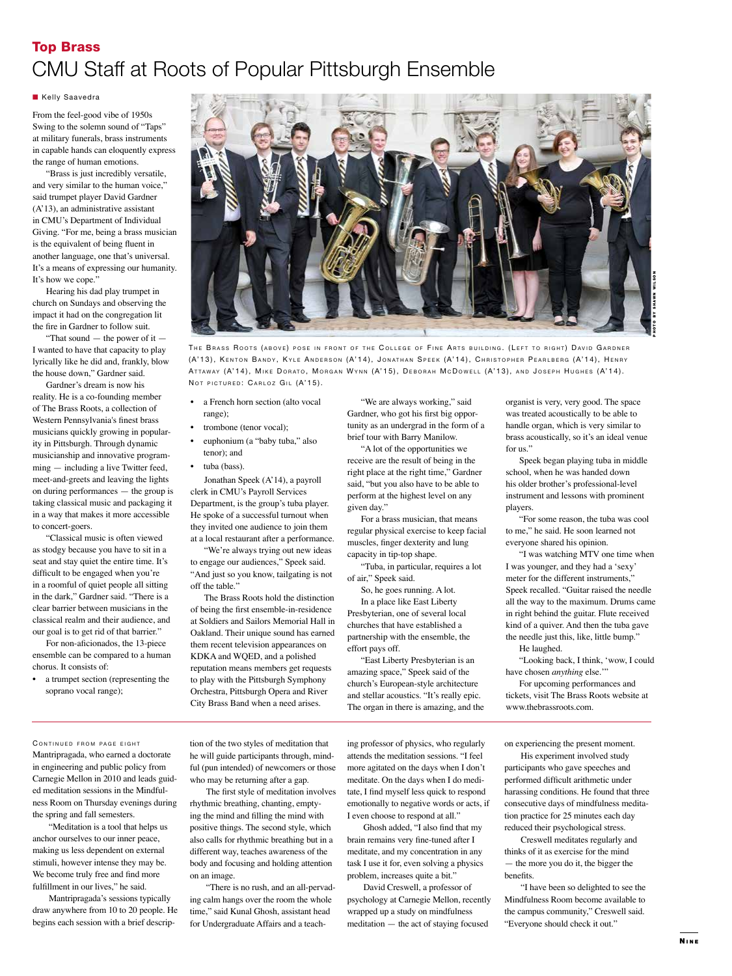# Top Brass CMU Staff at Roots of Popular Pittsburgh Ensemble

#### **Kelly Saavedra**

From the feel-good vibe of 1950s Swing to the solemn sound of "Taps" at military funerals, brass instruments in capable hands can eloquently express the range of human emotions.

"Brass is just incredibly versatile, and very similar to the human voice," said trumpet player David Gardner (A'13), an administrative assistant in CMU's Department of Individual Giving. "For me, being a brass musician is the equivalent of being fluent in another language, one that's universal. It's a means of expressing our humanity. It's how we cope."

Hearing his dad play trumpet in church on Sundays and observing the impact it had on the congregation lit the fire in Gardner to follow suit.

"That sound — the power of it — I wanted to have that capacity to play lyrically like he did and, frankly, blow the house down," Gardner said.

Gardner's dream is now his reality. He is a co-founding member of The Brass Roots, a collection of Western Pennsylvania's finest brass musicians quickly growing in popularity in Pittsburgh. Through dynamic musicianship and innovative programming — including a live Twitter feed, meet-and-greets and leaving the lights on during performances — the group is taking classical music and packaging it in a way that makes it more accessible to concert-goers.

"Classical music is often viewed as stodgy because you have to sit in a seat and stay quiet the entire time. It's difficult to be engaged when you're in a roomful of quiet people all sitting in the dark," Gardner said. "There is a clear barrier between musicians in the classical realm and their audience, and our goal is to get rid of that barrier."

For non-aficionados, the 13-piece ensemble can be compared to a human chorus. It consists of:

• a trumpet section (representing the soprano vocal range);



THE BRASS ROOTS (ABOVE) POSE IN FRONT OF THE COLLEGE OF FINE ARTS BUILDING. (LEFT TO RIGHT) DAVID GARDNER (A'13), KENTON BANDY, KYLE ANDERSON (A'14), JONATHAN SPEEK (A'14), CHRISTOPHER PEARLBERG (A'14), HENRY ATTAWAY (A'14), MIKE DORATO, MORGAN WYNN (A'15), DEBORAH MCDOWELL (A'13), AND JOSEPH HUGHES (A'14). NOT PICTURED: CARLOZ GIL (A'15).

- a French horn section (alto vocal range);
- trombone (tenor vocal);
- euphonium (a "baby tuba," also tenor); and
- tuba (bass).

Jonathan Speek (A'14), a payroll clerk in CMU's Payroll Services Department, is the group's tuba player. He spoke of a successful turnout when they invited one audience to join them at a local restaurant after a performance.

"We're always trying out new ideas to engage our audiences," Speek said. "And just so you know, tailgating is not off the table."

The Brass Roots hold the distinction of being the first ensemble-in-residence at Soldiers and Sailors Memorial Hall in Oakland. Their unique sound has earned them recent television appearances on KDKA and WQED, and a polished reputation means members get requests to play with the Pittsburgh Symphony Orchestra, Pittsburgh Opera and River City Brass Band when a need arises.

"We are always working," said Gardner, who got his first big opportunity as an undergrad in the form of a brief tour with Barry Manilow.

"A lot of the opportunities we receive are the result of being in the right place at the right time," Gardner said, "but you also have to be able to perform at the highest level on any given day."

For a brass musician, that means regular physical exercise to keep facial muscles, finger dexterity and lung capacity in tip-top shape.

"Tuba, in particular, requires a lot of air," Speek said.

So, he goes running. A lot. In a place like East Liberty Presbyterian, one of several local churches that have established a partnership with the ensemble, the effort pays off.

"East Liberty Presbyterian is an amazing space," Speek said of the church's European-style architecture and stellar acoustics. "It's really epic. The organ in there is amazing, and the organist is very, very good. The space was treated acoustically to be able to handle organ, which is very similar to brass acoustically, so it's an ideal venue for us."

Speek began playing tuba in middle school, when he was handed down his older brother's professional-level instrument and lessons with prominent players.

"For some reason, the tuba was cool to me," he said. He soon learned not everyone shared his opinion.

"I was watching MTV one time when I was younger, and they had a 'sexy' meter for the different instruments," Speek recalled. "Guitar raised the needle all the way to the maximum. Drums came in right behind the guitar. Flute received kind of a quiver. And then the tuba gave the needle just this, like, little bump."

He laughed.

"Looking back, I think, 'wow, I could have chosen *anything* else."

For upcoming performances and tickets, visit The Brass Roots website at www.thebrassroots.com.

CONTINUED FROM PAGE EIGHT Mantripragada, who earned a doctorate in engineering and public policy from Carnegie Mellon in 2010 and leads guided meditation sessions in the Mindfulness Room on Thursday evenings during the spring and fall semesters.

"Meditation is a tool that helps us anchor ourselves to our inner peace, making us less dependent on external stimuli, however intense they may be. We become truly free and find more fulfillment in our lives," he said.

Mantripragada's sessions typically draw anywhere from 10 to 20 people. He begins each session with a brief description of the two styles of meditation that he will guide participants through, mindful (pun intended) of newcomers or those who may be returning after a gap.

The first style of meditation involves rhythmic breathing, chanting, emptying the mind and filling the mind with positive things. The second style, which also calls for rhythmic breathing but in a different way, teaches awareness of the body and focusing and holding attention

on an image. "There is no rush, and an all-pervading calm hangs over the room the whole time," said Kunal Ghosh, assistant head for Undergraduate Affairs and a teach-

ing professor of physics, who regularly attends the meditation sessions. "I feel more agitated on the days when I don't meditate. On the days when I do meditate, I find myself less quick to respond emotionally to negative words or acts, if I even choose to respond at all."

Ghosh added, "I also find that my brain remains very fine-tuned after I meditate, and my concentration in any task I use it for, even solving a physics problem, increases quite a bit."

David Creswell, a professor of psychology at Carnegie Mellon, recently wrapped up a study on mindfulness meditation — the act of staying focused

on experiencing the present moment.

His experiment involved study participants who gave speeches and performed difficult arithmetic under harassing conditions. He found that three consecutive days of mindfulness meditation practice for 25 minutes each day reduced their psychological stress.

Creswell meditates regularly and thinks of it as exercise for the mind — the more you do it, the bigger the benefits.

"I have been so delighted to see the Mindfulness Room become available to the campus community," Creswell said. "Everyone should check it out."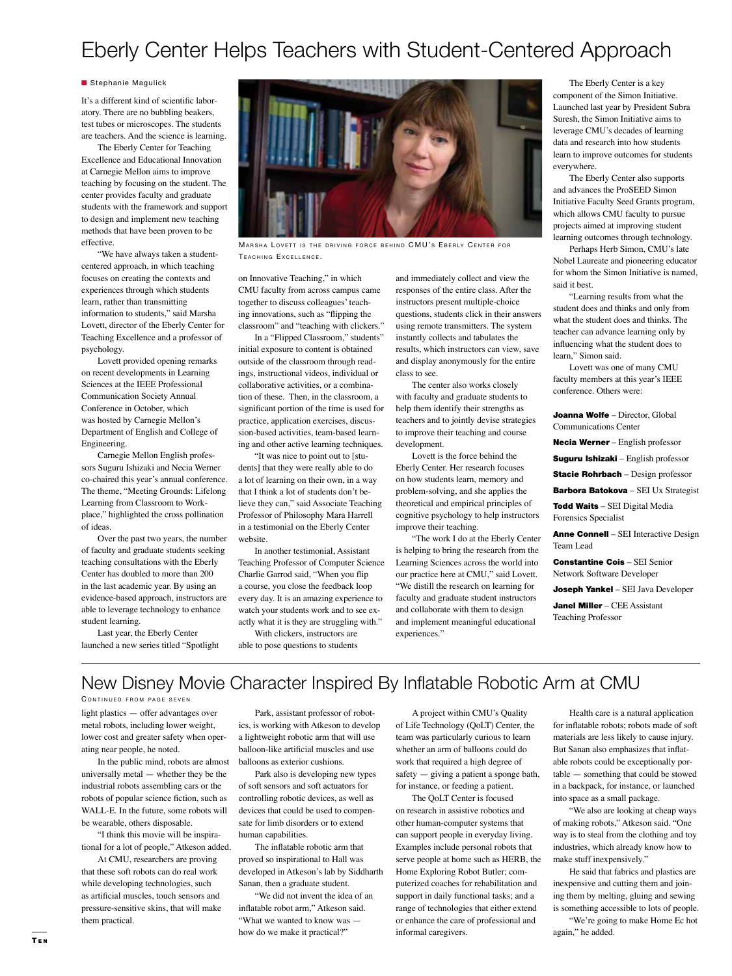# Eberly Center Helps Teachers with Student-Centered Approach

#### **n** Stephanie Magulick

It's a different kind of scientific laboratory. There are no bubbling beakers, test tubes or microscopes. The students are teachers. And the science is learning.

The Eberly Center for Teaching Excellence and Educational Innovation at Carnegie Mellon aims to improve teaching by focusing on the student. The center provides faculty and graduate students with the framework and support to design and implement new teaching methods that have been proven to be effective.

"We have always taken a studentcentered approach, in which teaching focuses on creating the contexts and experiences through which students learn, rather than transmitting information to students," said Marsha Lovett, director of the Eberly Center for Teaching Excellence and a professor of psychology.

Lovett provided opening remarks on recent developments in Learning Sciences at the IEEE Professional Communication Society Annual Conference in October, which was hosted by Carnegie Mellon's Department of English and College of Engineering.

Carnegie Mellon English professors Suguru Ishizaki and Necia Werner co-chaired this year's annual conference. The theme, "Meeting Grounds: Lifelong Learning from Classroom to Workplace," highlighted the cross pollination of ideas.

Over the past two years, the number of faculty and graduate students seeking teaching consultations with the Eberly Center has doubled to more than 200 in the last academic year. By using an evidence-based approach, instructors are able to leverage technology to enhance student learning.

Last year, the Eberly Center launched a new series titled "Spotlight



MARSHA LOVETT IS THE DRIVING FORCE BEHIND CMU'S EBERLY CENTER FOR TEACHING EXCELLENCE.

on Innovative Teaching," in which CMU faculty from across campus came together to discuss colleagues' teaching innovations, such as "flipping the classroom" and "teaching with clickers."

In a "Flipped Classroom," students" initial exposure to content is obtained outside of the classroom through readings, instructional videos, individual or collaborative activities, or a combination of these. Then, in the classroom, a significant portion of the time is used for practice, application exercises, discussion-based activities, team-based learning and other active learning techniques.

"It was nice to point out to [students] that they were really able to do a lot of learning on their own, in a way that I think a lot of students don't believe they can," said Associate Teaching Professor of Philosophy Mara Harrell in a testimonial on the Eberly Center website.

In another testimonial, Assistant Teaching Professor of Computer Science Charlie Garrod said, "When you flip a course, you close the feedback loop every day. It is an amazing experience to watch your students work and to see exactly what it is they are struggling with."

With clickers, instructors are able to pose questions to students and immediately collect and view the responses of the entire class. After the instructors present multiple-choice questions, students click in their answers using remote transmitters. The system instantly collects and tabulates the results, which instructors can view, save and display anonymously for the entire class to see.

The center also works closely with faculty and graduate students to help them identify their strengths as teachers and to jointly devise strategies to improve their teaching and course development.

Lovett is the force behind the Eberly Center. Her research focuses on how students learn, memory and problem-solving, and she applies the theoretical and empirical principles of cognitive psychology to help instructors improve their teaching.

"The work I do at the Eberly Center is helping to bring the research from the Learning Sciences across the world into our practice here at CMU," said Lovett. "We distill the research on learning for faculty and graduate student instructors and collaborate with them to design and implement meaningful educational experiences."

The Eberly Center is a key component of the Simon Initiative. Launched last year by President Subra Suresh, the Simon Initiative aims to leverage CMU's decades of learning data and research into how students learn to improve outcomes for students everywhere.

The Eberly Center also supports and advances the ProSEED Simon Initiative Faculty Seed Grants program, which allows CMU faculty to pursue projects aimed at improving student learning outcomes through technology.

Perhaps Herb Simon, CMU's late Nobel Laureate and pioneering educator for whom the Simon Initiative is named, said it best.

"Learning results from what the student does and thinks and only from what the student does and thinks. The teacher can advance learning only by influencing what the student does to learn," Simon said.

Lovett was one of many CMU faculty members at this year's IEEE conference. Others were:

Joanna Wolfe – Director, Global Communications Center

Necia Werner – English professor

Suguru Ishizaki - English professor

Stacie Rohrbach - Design professor

Barbora Batokova - SEI Ux Strategist

Todd Waits - SEI Digital Media Forensics Specialist

Anne Connell – SEI Interactive Design Team Lead

Constantine Cois – SEI Senior Network Software Developer

Joseph Yankel - SEI Java Developer

Janel Miller - CEE Assistant Teaching Professor

# New Disney Movie Character Inspired By Inflatable Robotic Arm at CMU

light plastics — offer advantages over metal robots, including lower weight, CONTINUED FROM PAGE SEVEN

lower cost and greater safety when operating near people, he noted.

In the public mind, robots are almost universally metal — whether they be the industrial robots assembling cars or the robots of popular science fiction, such as WALL-E. In the future, some robots will be wearable, others disposable.

"I think this movie will be inspirational for a lot of people," Atkeson added.

At CMU, researchers are proving that these soft robots can do real work while developing technologies, such as artificial muscles, touch sensors and pressure-sensitive skins, that will make them practical.

Park, assistant professor of robotics, is working with Atkeson to develop a lightweight robotic arm that will use balloon-like artificial muscles and use balloons as exterior cushions.

Park also is developing new types of soft sensors and soft actuators for controlling robotic devices, as well as devices that could be used to compensate for limb disorders or to extend human capabilities.

The inflatable robotic arm that proved so inspirational to Hall was developed in Atkeson's lab by Siddharth Sanan, then a graduate student.

"We did not invent the idea of an inflatable robot arm," Atkeson said. "What we wanted to know was how do we make it practical?"

A project within CMU's Quality of Life Technology (QoLT) Center, the team was particularly curious to learn whether an arm of balloons could do work that required a high degree of safety — giving a patient a sponge bath, for instance, or feeding a patient.

The QoLT Center is focused on research in assistive robotics and other human-computer systems that can support people in everyday living. Examples include personal robots that serve people at home such as HERB, the Home Exploring Robot Butler; computerized coaches for rehabilitation and support in daily functional tasks; and a range of technologies that either extend or enhance the care of professional and informal caregivers.

Health care is a natural application for inflatable robots; robots made of soft materials are less likely to cause injury. But Sanan also emphasizes that inflatable robots could be exceptionally portable — something that could be stowed in a backpack, for instance, or launched into space as a small package.

"We also are looking at cheap ways of making robots," Atkeson said. "One way is to steal from the clothing and toy industries, which already know how to make stuff inexpensively."

He said that fabrics and plastics are inexpensive and cutting them and joining them by melting, gluing and sewing is something accessible to lots of people.

"We're going to make Home Ec hot again," he added.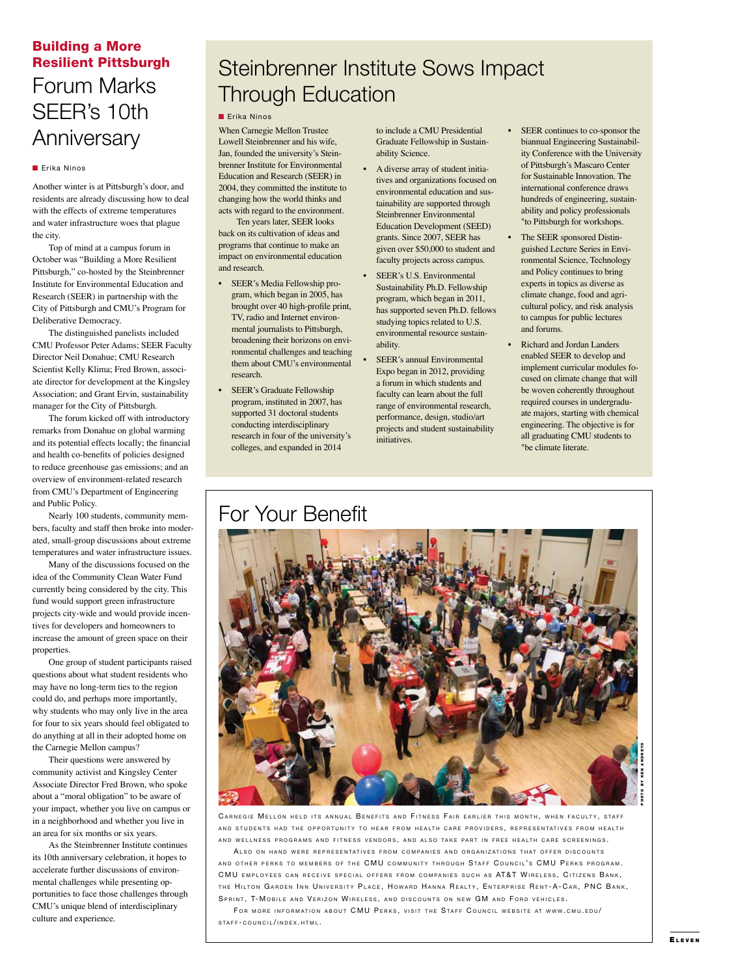## Building a More Resilient Pittsburgh

# Forum Marks SEER's 10th **Anniversary**

### **n** Erika Ninos

Another winter is at Pittsburgh's door, and residents are already discussing how to deal with the effects of extreme temperatures and water infrastructure woes that plague the city.

Top of mind at a campus forum in October was "Building a More Resilient Pittsburgh," co-hosted by the Steinbrenner Institute for Environmental Education and Research (SEER) in partnership with the City of Pittsburgh and CMU's Program for Deliberative Democracy.

The distinguished panelists included CMU Professor Peter Adams; SEER Faculty Director Neil Donahue; CMU Research Scientist Kelly Klima; Fred Brown, associate director for development at the Kingsley Association; and Grant Ervin, sustainability manager for the City of Pittsburgh.

The forum kicked off with introductory remarks from Donahue on global warming and its potential effects locally; the financial and health co-benefits of policies designed to reduce greenhouse gas emissions; and an overview of environment-related research from CMU's Department of Engineering and Public Policy.

Nearly 100 students, community members, faculty and staff then broke into moderated, small-group discussions about extreme temperatures and water infrastructure issues.

Many of the discussions focused on the idea of the Community Clean Water Fund currently being considered by the city. This fund would support green infrastructure projects city-wide and would provide incentives for developers and homeowners to increase the amount of green space on their properties.

One group of student participants raised questions about what student residents who may have no long-term ties to the region could do, and perhaps more importantly, why students who may only live in the area for four to six years should feel obligated to do anything at all in their adopted home on the Carnegie Mellon campus?

Their questions were answered by community activist and Kingsley Center Associate Director Fred Brown, who spoke about a "moral obligation" to be aware of your impact, whether you live on campus or in a neighborhood and whether you live in an area for six months or six years.

As the Steinbrenner Institute continues its 10th anniversary celebration, it hopes to accelerate further discussions of environmental challenges while presenting opportunities to face those challenges through CMU's unique blend of interdisciplinary culture and experience.

# Steinbrenner Institute Sows Impact Through Education

### **n** Erika Ninos

When Carnegie Mellon Trustee Lowell Steinbrenner and his wife, Jan, founded the university's Steinbrenner Institute for Environmental Education and Research (SEER) in 2004, they committed the institute to changing how the world thinks and acts with regard to the environment.

 Ten years later, SEER looks back on its cultivation of ideas and programs that continue to make an impact on environmental education and research.

- SEER's Media Fellowship program, which began in 2005, has brought over 40 high-profile print, TV, radio and Internet environmental journalists to Pittsburgh, broadening their horizons on environmental challenges and teaching them about CMU's environmental research.
- SEER's Graduate Fellowship program, instituted in 2007, has supported 31 doctoral students conducting interdisciplinary research in four of the university's colleges, and expanded in 2014

to include a CMU Presidential Graduate Fellowship in Sustainability Science.

- A diverse array of student initiatives and organizations focused on environmental education and sustainability are supported through Steinbrenner Environmental Education Development (SEED) grants. Since 2007, SEER has given over \$50,000 to student and faculty projects across campus.
- SEER's U.S. Environmental Sustainability Ph.D. Fellowship program, which began in 2011, has supported seven Ph.D. fellows studying topics related to U.S. environmental resource sustainability.
- SEER's annual Environmental Expo began in 2012, providing a forum in which students and faculty can learn about the full range of environmental research, performance, design, studio/art projects and student sustainability initiatives.
- 
- SEER continues to co-sponsor the biannual Engineering Sustainability Conference with the University of Pittsburgh's Mascaro Center for Sustainable Innovation. The international conference draws hundreds of engineering, sustainability and policy professionals "to Pittsburgh for workshops.
- The SEER sponsored Distinguished Lecture Series in Environmental Science, Technology and Policy continues to bring experts in topics as diverse as climate change, food and agricultural policy, and risk analysis to campus for public lectures and forums.
- Richard and Jordan Landers enabled SEER to develop and implement curricular modules focused on climate change that will be woven coherently throughout required courses in undergraduate majors, starting with chemical engineering. The objective is for all graduating CMU students to "be climate literate.



CARNEGIE MELLON HELD ITS ANNUAL BENEFITS AND FITNESS FAIR EARLIER THIS MONTH, WHEN FACULTY, STAFF AND STUDENTS HAD THE OPPORTUNITY TO HEAR FROM HEALTH CARE PROVIDERS, REPRESENTATIVES FROM HEALTH AND WELLNESS PROGRAMS AND FITNESS VENDORS, AND ALSO TAKE PART IN FREE HEALTH CARE SCREENINGS.

ALSO ON HAND WERE REPRESENTATIVES FROM COMPANIES AND ORGANIZATIONS THAT OFFER DISCOUNTS AND OTHER PERKS TO MEMBERS OF THE CMU COMMUNITY THROUGH STAFF COUNCIL'S CMU PERKS PROGRAM. CMU EMPLOYEES CAN RECEIVE SPECIAL OFFERS FROM COMPANIES SUCH AS AT&T WIRELESS, CITIZENS BANK, THE HILTON GARDEN INN UNIVERSITY PLACE, HOWARD HANNA REALTY, ENTERPRISE RENT-A-CAR, PNC BANK, SPRINT, T-MOBILE AND VERIZON WIRELESS, AND DISCOUNTS ON NEW GM AND FORD VEHICLES.

FOR MORE INFORMATION ABOUT CMU PERKS, VISIT THE STAFF COUNCIL WEBSITE AT WWW.CMU.EDU/  $STAEF - CONINCII /INDEF X HTMI$